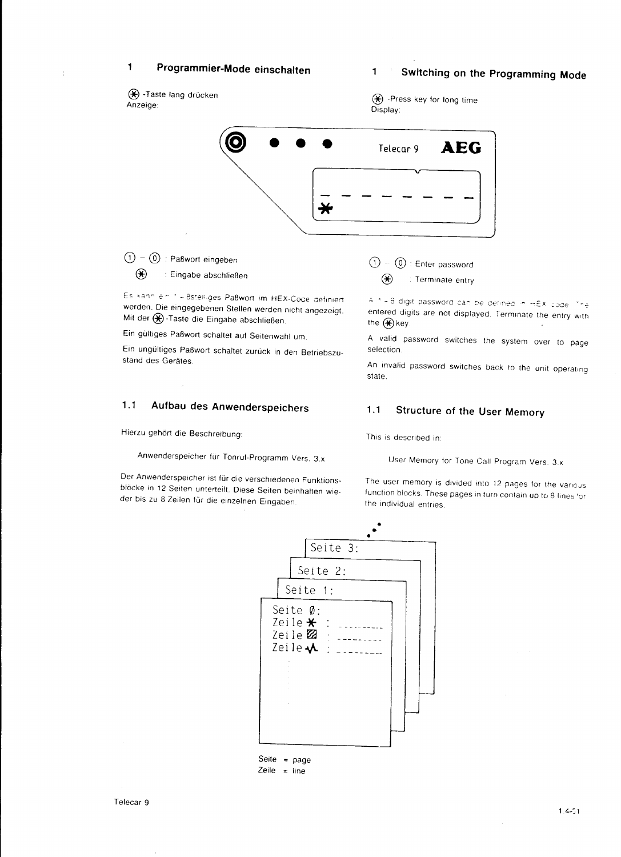### Programmier-Mode einschalten  $\mathbf{1}$

### Switching on the Programming Mode  $\mathbf{1}$

(\*) -Taste lang drücken Anzeige:

ŧ

(\*) -Press key for long time Display:



 $(1) - (0)$ : Paßwort eingeben  $\circledast$ : Eingabe abschließen

Es kann ein 1 - 8stelliges Paßwort im HEX-Code definiert werden. Die eingegebenen Stellen werden nicht angezeigt. Mit der (C)-Taste die Eingabe abschließen

Ein gültiges Paßwort schaltet auf Seitenwahl um.

Ein ungültiges Paßwort schaltet zurück in den Betriebszustand des Gerätes.

### $1.1$ Aufbau des Anwenderspeichers

Hierzu gehört die Beschreibung:

Anwenderspeicher für Tonruf-Programm Vers. 3.x

Der Anwenderspeicher ist für die verschiedenen Funktionsblöcke in 12 Seiten unterteilt. Diese Seiten beinhalten wieder bis zu 8 Zeilen für die einzelnen Eingaben.

 $\textcircled{1} - \textcircled{0}$  : Enter password  $\circledast$ : Terminate entry

4.1 - 8 digit password can be defined in HEX code. The entered digits are not displayed. Terminate the entry with the  $(\mathbf{\hat{x}})$  key.

A valid password switches the system over to page selection.

An invalid password switches back to the unit operating state.

### $1.1$ **Structure of the User Memory**

This is described in:

User Memory for Tone Call Program Vers. 3.x

The user memory is divided into 12 pages for the various function blocks. These pages in turn contain up to 8 lines for the individual entries.

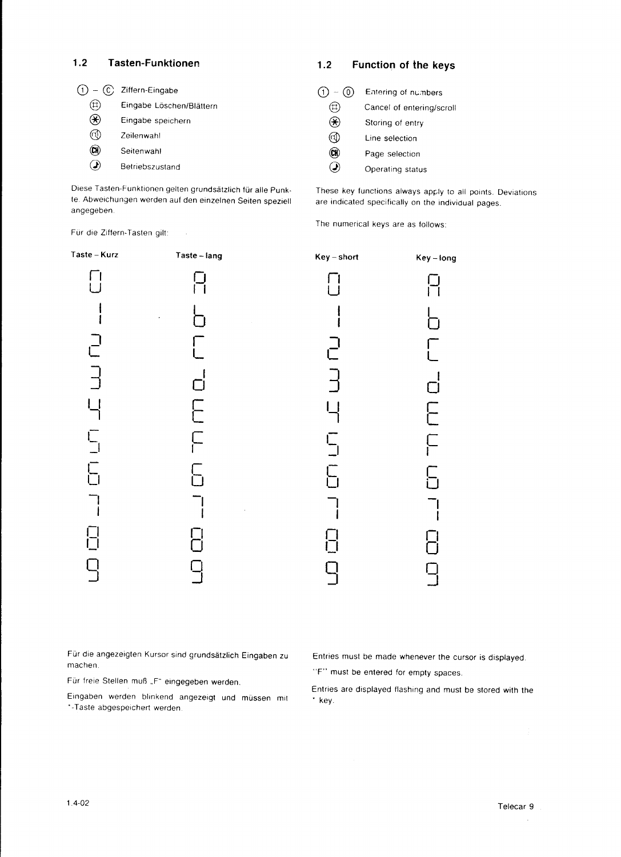## 1.2 Tasten-Funktionen

| $-$ (c) | Ziffern-Eingabe          |
|---------|--------------------------|
|         | Eingabe Löschen/Blättern |
| *)      | Eingabe speichern        |
|         | Zeilenwahl               |
| uı      | Seitenwahl               |
|         | Betriebszustand          |

1,2 Function of the keys

| $-$ (0)              | Entering of numbers       |
|----------------------|---------------------------|
|                      | Cancel of entering/scroll |
| $\boldsymbol{\star}$ | Storing of entry          |
|                      | Line selection            |
|                      | Page selection            |
|                      | Operating status          |

Diese Tasten-Funktionen gelten grundsätzlich für alle Punkte. Abweichungen werden auf den einzelnen Seiten speziell angegeben.

 $\bar{\omega}$ 

Für die Ziffern-Tasten gilt:

These key functions always apply to all points. Deviations are indicated specifically on the individual pages.

The numerical keys are as follows.



Für die angezeigten Kursor sind grundsätzlich Eingaben zu machen.

Für freie Stellen muß .,F" eingegeben werden.

Eingaben werden blinkend angezeigt und müssen mit '-Taste abgespeichert werden.

## Entries must be made whenever the cursor is displayed.

"F" must be entered for empty spaces.

Entries are displayed flashing and musl be stored with the ' kev.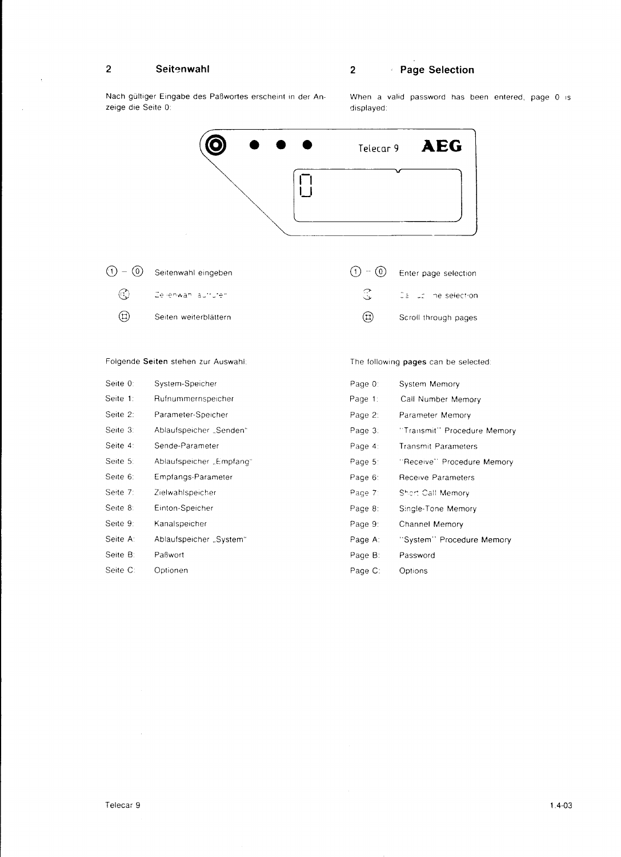#### $\overline{\mathbf{2}}$ Seitenwahl

 $\bar{\lambda}$ 

 $\bar{z}$ 

## 2 Page Selection

The following pages can be selected:

Nach gültiger Eingabe des Paßwortes erscheint in der Anzeige die Seite 0:

in der An- en When la valid password has been entered, page 0 is displayed:





## Folgende Seiten stehen zur Auswahl

| Seite 0: | System-Speicher          | Page 0: | System Memory               |
|----------|--------------------------|---------|-----------------------------|
| Seite 1: | Rufnummernspeicher       | Page 1: | Call Number Memory          |
| Seite 2: | Parameter-Speicher       | Page 2: | Parameter Memory            |
| Seite 3: | Ablaufspeicher "Senden"  | Page 3: | "Transmit" Procedure Memory |
| Seite 4: | Sende-Parameter          | Page 4: | <b>Transmit Parameters</b>  |
| Seite 5: | "Ablaufspeicher "Empfang | Page 5: | "Receive" Procedure Memory  |
| Seite 6: | Empfangs-Parameter       | Page 6: | Receive Parameters          |
| Seite 7: | Zielwahlspeicher         | Page 7: | Short Call Memory           |
| Seite 8: | Einton-Speicher          | Page 8: | Single-Tone Memory          |
| Seite 9: | Kanalspeicher            | Page 9: | Channel Memory              |
| Seite A: | Ablaufspeicher "System"  | Page A: | "System" Procedure Memory   |
| Seite B: | Paßwort                  | Page B: | Password                    |
| Seite C: | Optionen                 | Page C: | Options                     |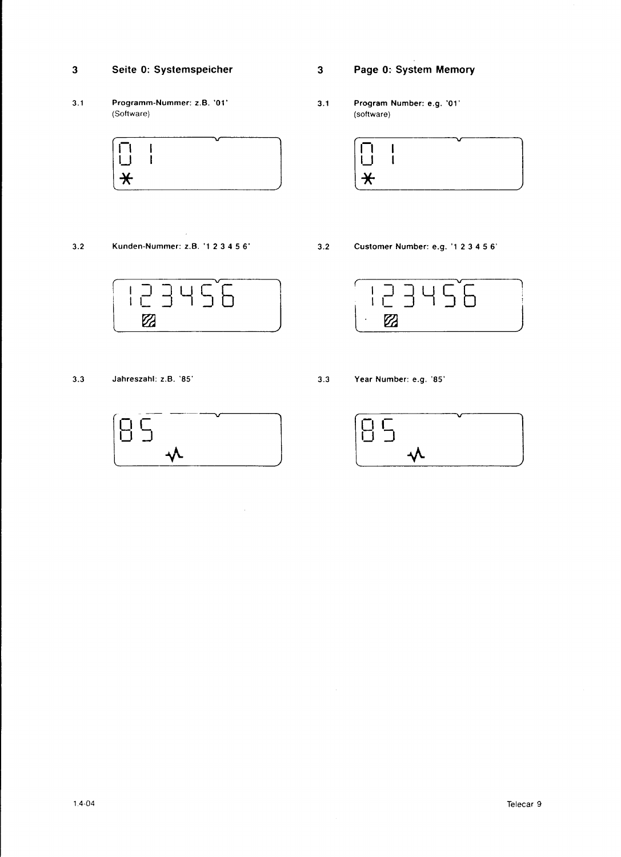### 3 Seite 0: Systemspeicher

3.1 Programm-Nummer: z.B.'01' (Software)



3.2 Kunden-Nummer: 2.8.'1 2 3 4 5 6 ' Cuslomer Number: e.g.'1 2 3 4 5 6'





 $\bar{\lambda}$ 

3 Page 0: System Memory

3.1 Program Number: e.g. '01' (sottware)





3.3 Jahreszahl:2.8.'85' 3-3 Year Number: e.g. '85'

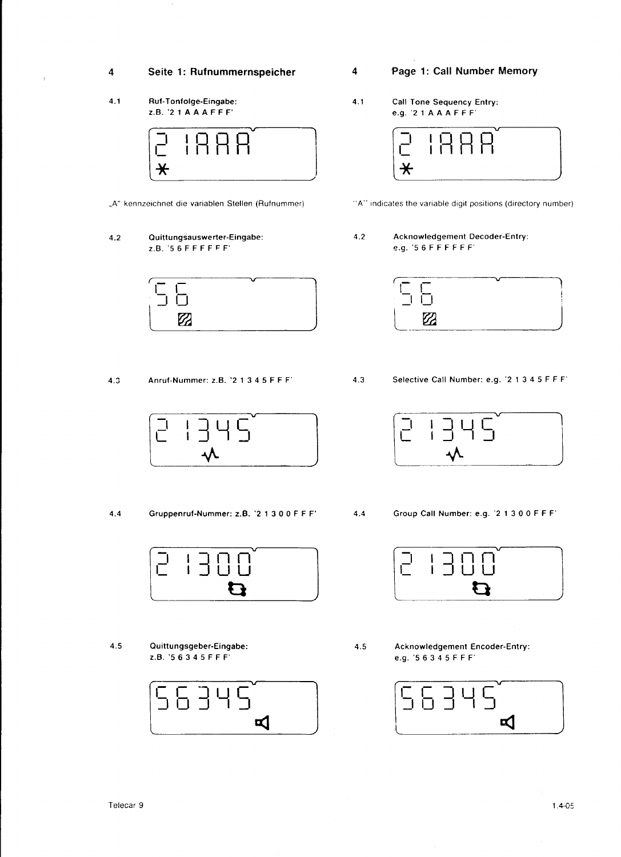## Seite 1: Rufnummernspeicher

 $4.1$ Ruf-Tonfolge-Eingabe:  $Z.B.$  '2 1 A A A F F F'

 $\overline{\mathbf{4}}$ 

 $\overline{1}$ 



- "A" kennzeichnet die variablen Stellen (Rufnummer)
- Quittungsauswerter-Eingabe:  $4.2$  $Z.B.$  '56FFFFFF'



Anruf-Nummer: z.B. '2 1 3 4 5 F F F'  $4.3$ 



 $4,4$ Gruppenruf-Nummer: z.B. '2 1 3 0 0 F F F'



 $4.5$ Quittungsgeber-Eingabe: Z.B. '56345FFF'



- Page 1: Call Number Memory
- Call Tone Sequency Entry:  $4.1$ e.g. '21AAAFFF'



- "A" indicates the variable digit positions (directory number)
- **Acknowledgement Decoder-Entry:**  $4.2$ e.g. '56FFFFFF'

| ____ |      |  |
|------|------|--|
|      | ____ |  |

 $4.3$ 

4

Selective Call Number: e.g. '2 1 3 4 5 F F F'



- Group Call Number: e.g. '2 1 3 0 0 F F F'  $4.4$ 
	-



 $4.5$ 

Acknowledgement Encoder-Entry: e.g. '5 6 3 4 5 F F F'

| $\mathbf{1}$ |  |    |  |
|--------------|--|----|--|
|              |  | ¤1 |  |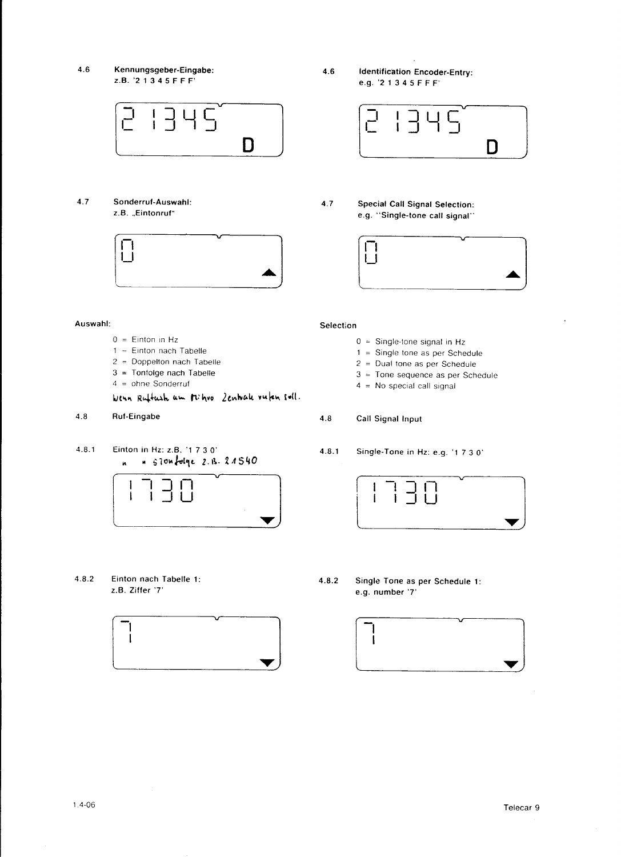$4.6$ Kennungsgeber-Eingabe: z.B. '2 1 3 4 5 F F F'



 $4.7$ Sonderruf-Auswahl: z.B. "Eintonruf"



**Identification Encoder-Entry:**  $4.6$ e.g. '2 1 3 4 5 F F F'



**Special Call Signal Selection:**  $4.7$ e.g. "Single-tone call signal"



## Selection

- $0 =$  Single-tone signal in Hz
- $1 =$  Single tone as per Schedule
- $2 =$  Dual tone as per Schedule
- $3 =$  Tone sequence as per Schedule
- $4 = No special call signal$
- $4.8$ Call Signal Input
- Single-Tone in Hz: e.g. '1 7 3 0'  $4.8.1$



 $4.8.2$ Single Tone as per Schedule 1: e.g. number '7'



### Auswahl:

- $0 =$  Einton in Hz
- $1 =$  Einton nach Tabelle
- 2 = Doppelton nach Tabelle
- $3 =$  Tonfolge nach Tabelle
- $4 = 0$ hne Sonderruf

Wenn Ruftush um pichvo Zentrale vuten soll.

- Ruf-Eingabe  $4.8$
- $4.8.1$ Einton in Hz: z.B. '1 7 3 0' " slonfolge 2.B. 21540 'n



 $4.8.2$ Einton nach Tabelle 1: z.B. Ziffer '7'

 $\mathbf l$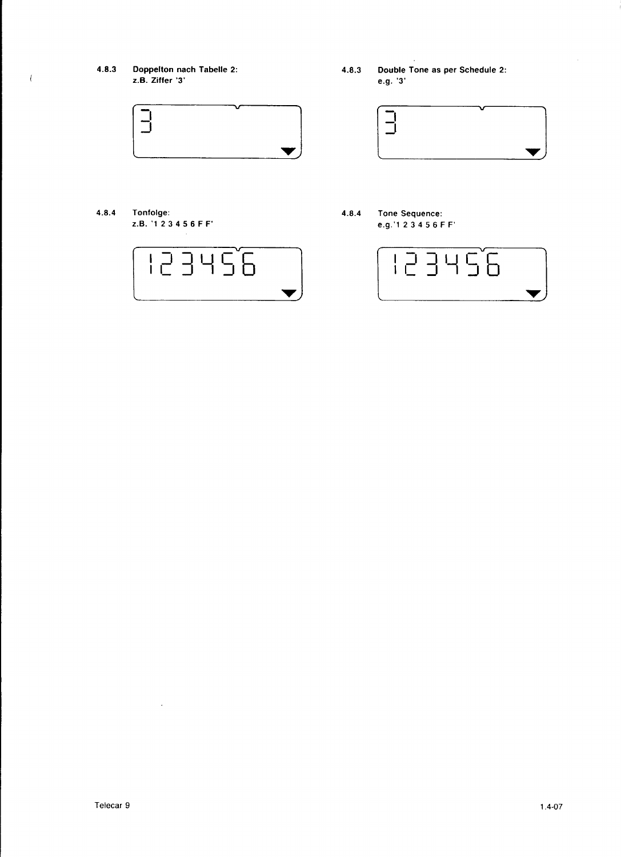4.8.3 Doppelton nach Tabelle 2: z.B. Zitter '3'

 $\ell$ 



4.8.4 Tonfolge: z.B.'123456FF'



4.8.3 Double Tone as per Schedule 2: e.g. '3'



4.8.4 Tone Sequence: e.g.'1 23456FF'



 $\omega$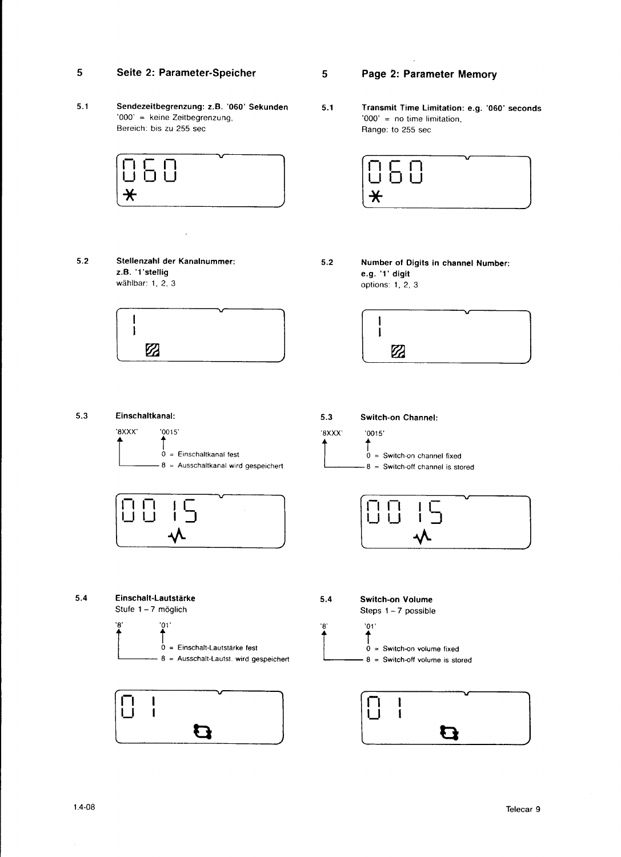### Seite 2: Parameter-Speicher 5

 $5.1$ Sendezeitbegrenzung: z.B. '060' Sekunden '000' = keine Zeitbegrenzung, Bereich: bis zu 255 sec



 $5.2$ Stellenzahl der Kanalnummer: z.B. '1'stellig wählbar: 1, 2, 3



Page 2: Parameter Memory

 $5\phantom{.0}$ 

 $5.1$ Transmit Time Limitation: e.g. '060' seconds '000' =  $no$  time limitation, Range: to 255 sec



 $5.2\,$ Number of Digits in channel Number: e.g. '1' digit options: 1, 2, 3









 $5.3$ Switch-on Channel:  $'0015'$ '8XXX' ↑

 $0 =$  Switch-on channel fixed  $8 =$  Switch-off channel is stored







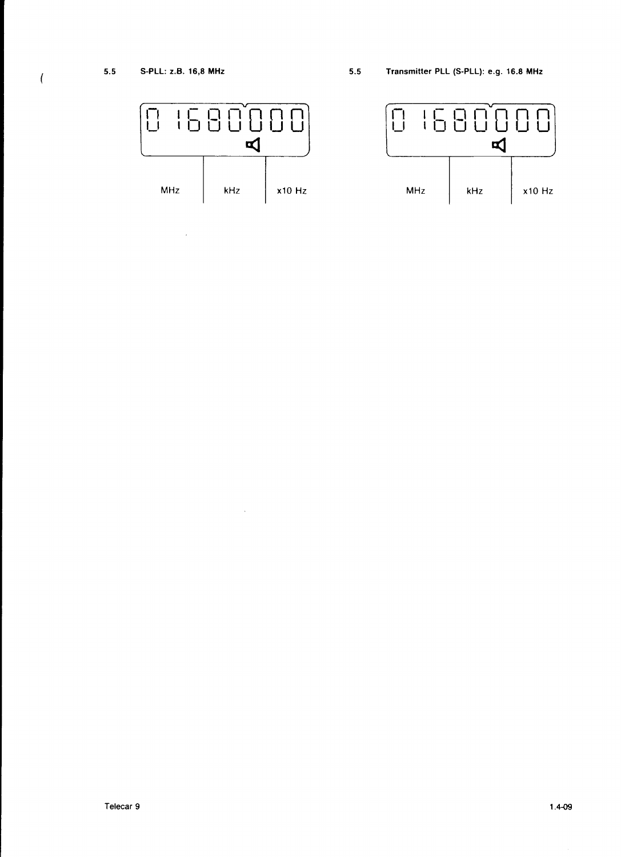$\hat{\mathcal{A}}$ 

 $\overline{(\ }$ 



 $\sim 10$ 

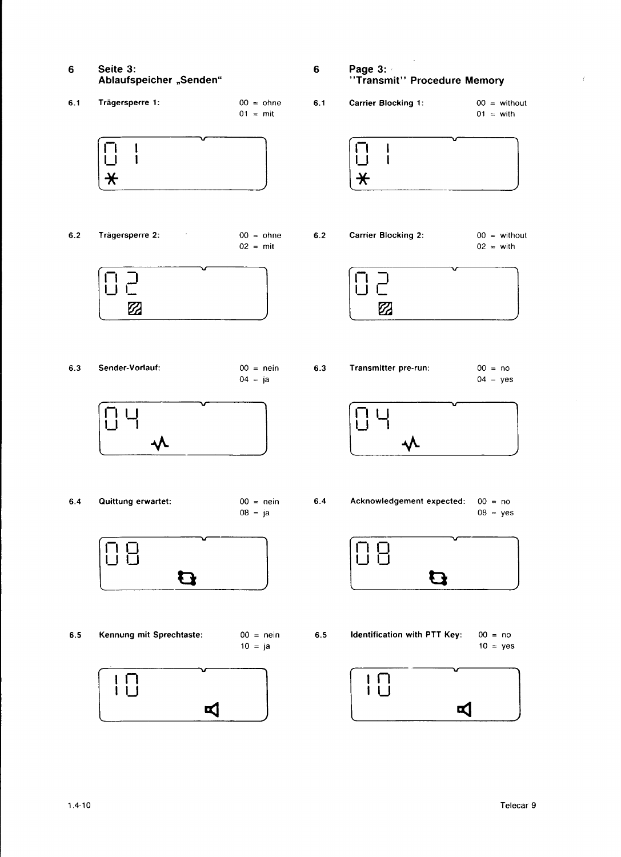- Seite 3: 6 Ablaufspeicher "Senden"
- $6.1$ Trägersperre 1:  $00 = ohne$  $01 = \text{mit}$



 $6.2$ Trägersperre 2:  $00 = \text{ohne}$  $02 = \text{mit}$ 



Sender-Vorlauf:  $00 =$  nein  $6.3$  $04 = ja$ 



Quittung erwartet:  $6.4$ 

 $00 = \text{nein}$  $08 = ja$ 



Kennung mit Sprechtaste:  $6.5$ 

 $00 = \text{nein}$  $10 = ja$ 



Page 3:  $\bf 6$ "Transmit" Procedure Memory

 $6.1$ 

 $6.2$ 

Ť

- **Carrier Blocking 1:**  $00 = \text{without}$  $01 = \text{with}$ I Ť  $\bigstar$ Carrier Blocking 2:  $00 = \text{without}$  $02 = \text{with}$ コ  $\mathbf{I}$  $\mathbb Z$
- Transmitter pre-run:  $00 = no$  $6.3$  $04 = yes$



 $6.4$ Acknowledgement expected:  $00 = no$  $08 = yes$ 



Identification with PTT Key:  $00 = no$  $6.5$  $10 = yes$ 

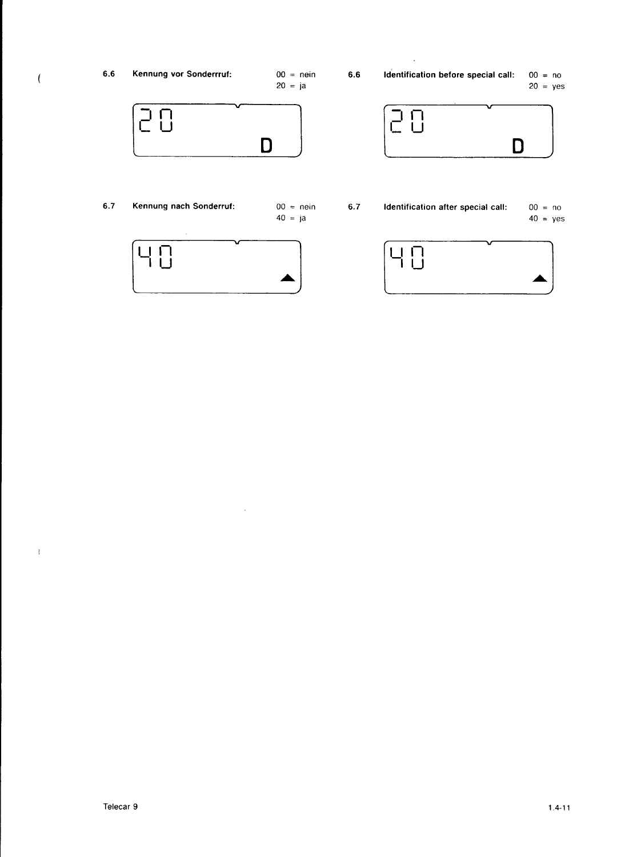$\langle$ 

 $00 =$  nein  $20 = ja$ 

 $6.6$ 

Identification before special call:  $00 = no$  $20 = yes$ 

D

 $\begin{array}{c} \square \\ \square \end{array}$ 

 $\overline{\sqsubset}$ 



 $6.7$ Kennung nach Sonderruf:  $00 = \text{nein}$  $40 = ja$ 





 $\omega$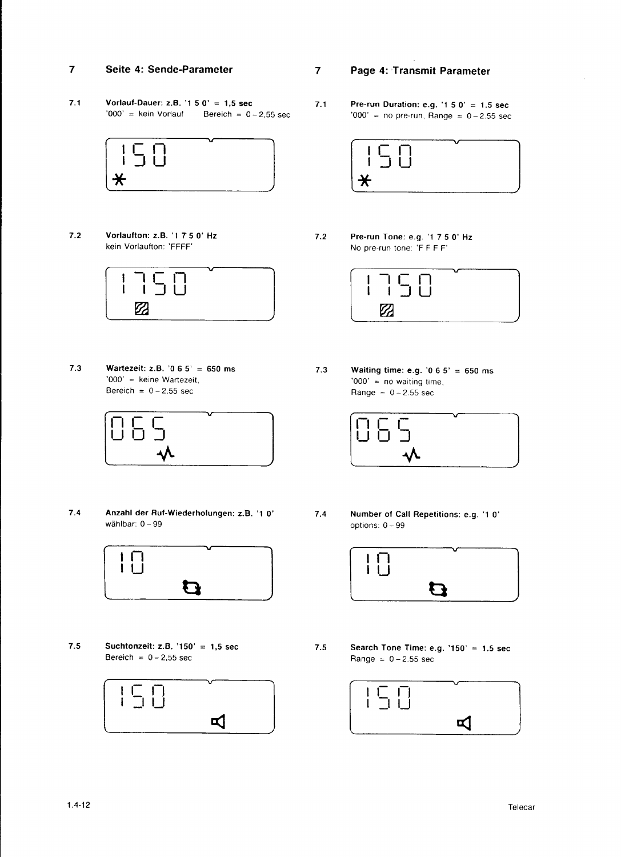#### 7 Seite 4: Sende-Parameter

7.1 Vorlauf-Dauer: z.B. '1 5 0' = 1,5 sec<br>'000' = kein Vorlauf Bereich =  $0 -$ Bereich =  $0 - 2,55$  sec



Vorfaufton: z.B.'17 5 0'Hz kein Vorlautton:'FFFF' 7.2



7.3 Wartezeit: z.B. '0 6 5' = 650 ms '000' = keine Wartezeit, Bereich =  $0 - 2,55$  sec



7.4 7.4 Anzahl der Ruf-Wiederholungen: z.B. '1 0' wählbar:  $0 - 99$ 



7.5 Suchtonzeit: z.B. '150' = 1,5 sec 7.5 Bereich =  $0 - 2,55$  sec



- $\overline{7}$ Page 4: Transmit Parameter
- 7.1 **Pre-run Duration: e.g. '1 5 0' = 1.5 sec '000' = no pre-run, Range =**  $0-2.55$  **sec**



Pre-run Tone: e.g. '1 7 5 0' Hz No pre-run tone: 'F F F F' 7.2



Waiting time: e.g. '0 6 5' = 650 ms '000' =  $no$  waiting time, Range =  $0 - 2.55$  sec 7.3



Number of Call Repelitions: e.g. '1 0' options: 0 - 99



Search Tone Time: e.g.  $'150' = 1.5$  sec  $Range = 0 - 2.55 sec$ 

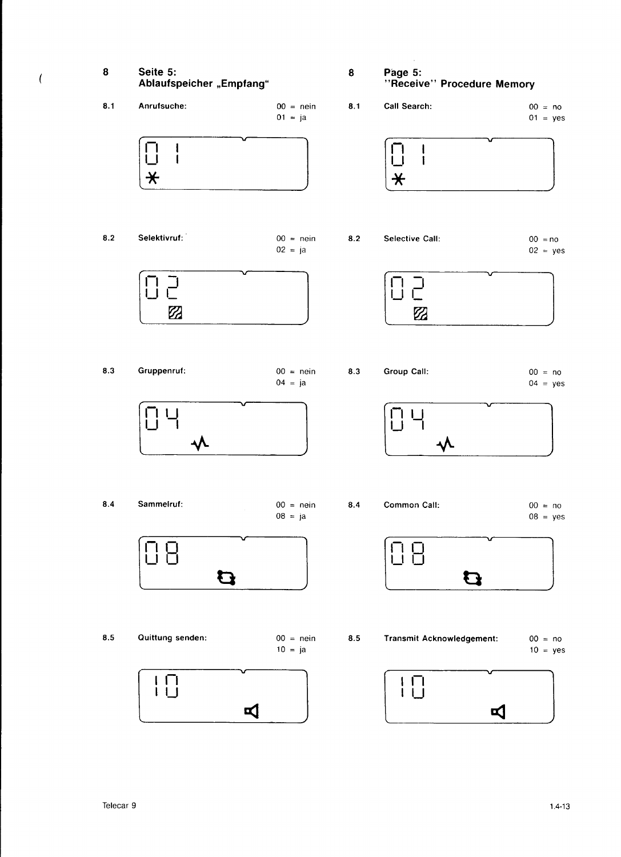

 $\overline{(}$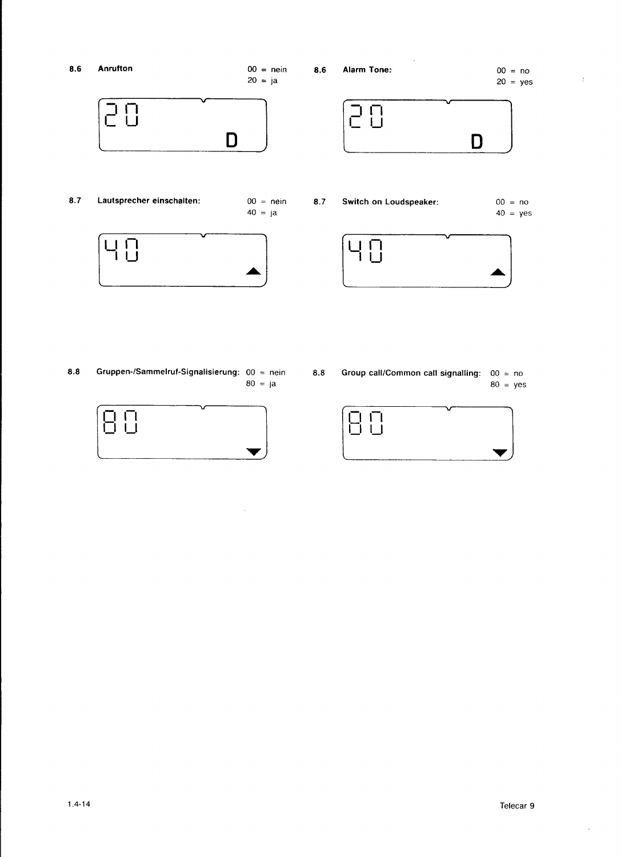

 $8.8$ Gruppen-/Sammelruf-Signalisierung:  $00 =$  nein  $80 = ja$ 



 $\hat{\boldsymbol{\beta}}$ 

 $8.8$ Group call/Common call signalling:  $00 = no$  $80 = yes$ 



 $\hat{\mathcal{A}}$ 

 $\sim 3^{\circ}$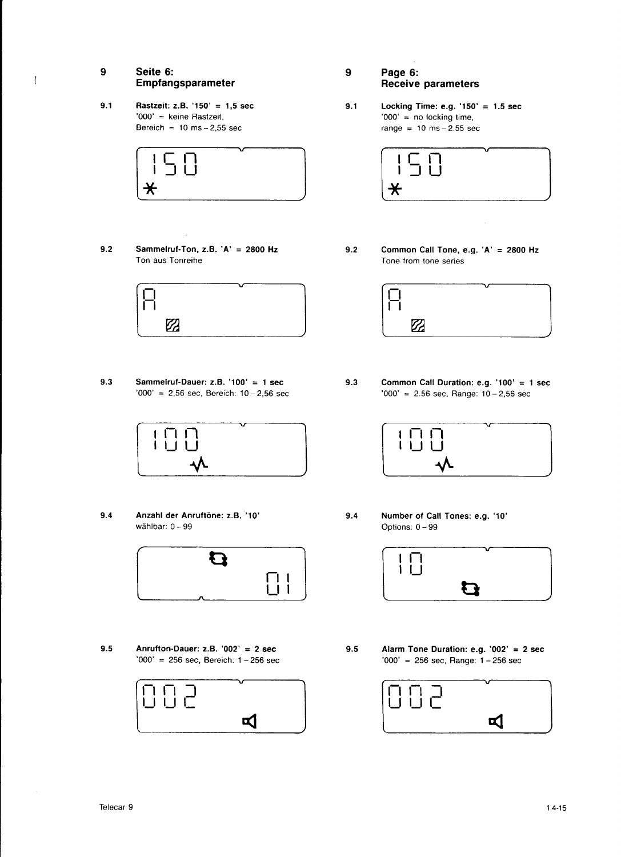## 9 Seite 6: Empfangsparameter

 $'000'$  = keine Rastzeit,<br>Bereich = 10 ms - 2,55 sec



9.2 Sammelruf-Ton, z.B. 'A' = 2800 Hz Ton aus Tonreihe



9.3 Sammelruf-Dauer: z.B. '100' = 1 sec '000' = 2,56 sec, Bereich:  $10-2,56$  sec



Anzahl der Anruftöne: z.B. '10' wählbar: 0 - 99 9.4



Anrufton-Dauer: z.B.'002' = 2 sec 9.5 9.5 '000' = 256 sec, Bereich:  $1-256$  sec



- 9 Page 6: Receive parameters
- 9.1 **Rastzeit: z.B. '150' = 1,5 sec 61 8.1** Locking Time: e.g. '150' = 1.5 sec  $'000' =$  keine Rastzeit,  $'000' =$  no locking time, range =  $10$  ms  $-2.55$  sec



9.2 Common Call Tone, e.g.  $'A' = 2800$  Hz Tone from tone series



9.3 Common Call Duration: e.g. '100' = 1 sec '000' = 2.56 sec, Range: 10-2,56 sec



9.4 Number of Call Tones: e.g. '10' Options: 0 - 99



Alarm Tone Duration: e.g. '002' = 2 sec  $'000' = 256$  sec, Range:  $1 - 256$  sec



 $\overline{(}$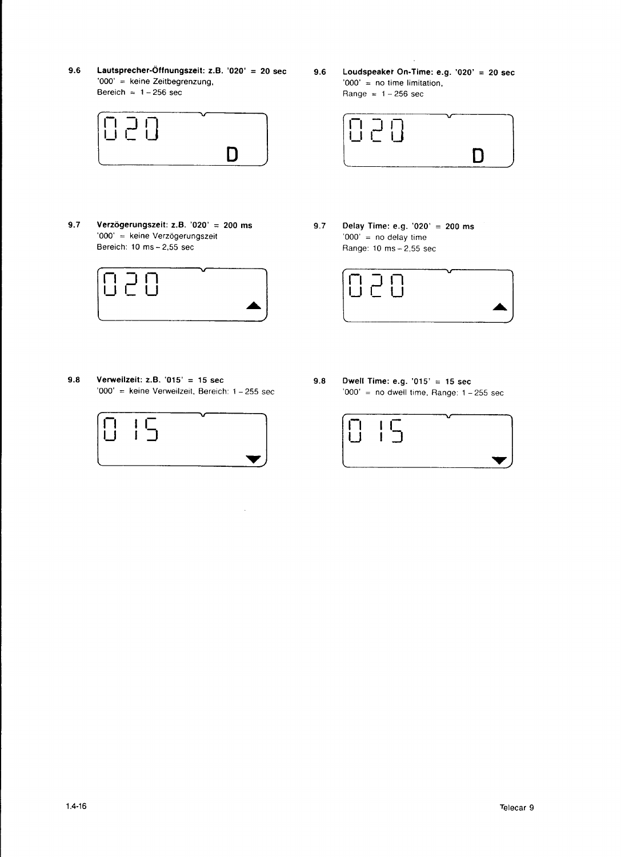9.6 Lautsprecher-Öffnungszeit: z.B. '020' = 20 sec 9.6 Loudspeaker On-Time: e.g. '020' = 20 sec '000' = keine Zeitbegrenzung, '000' = no time limitation, Bereich =  $1-256$  sec Range =  $1-256$  sec



9.7 Verzögerungszeit: z.B. '020' = 200 ms 9.7 Delay Time: e.g. '020' = 200 ms '000' = keine Verzögerungszeit '000' = no delay time<br>Bereich: 10 ms – 2,55 sec Range: 10 ms – 2,55 sec



9.8 Verweilzeit: z.B. '015' = 15 sec 9.8 Dwell Time: e.g. '015' = 15 sec '000' = keine Verweilzeit, Bereich: 1 - 255 sec '000' = no dwell time, Range: 1 - 255 sec



 $\bar{\mathcal{A}}$ 

Range =  $1-256$  sec



Range:  $10$  ms  $-2,55$  sec



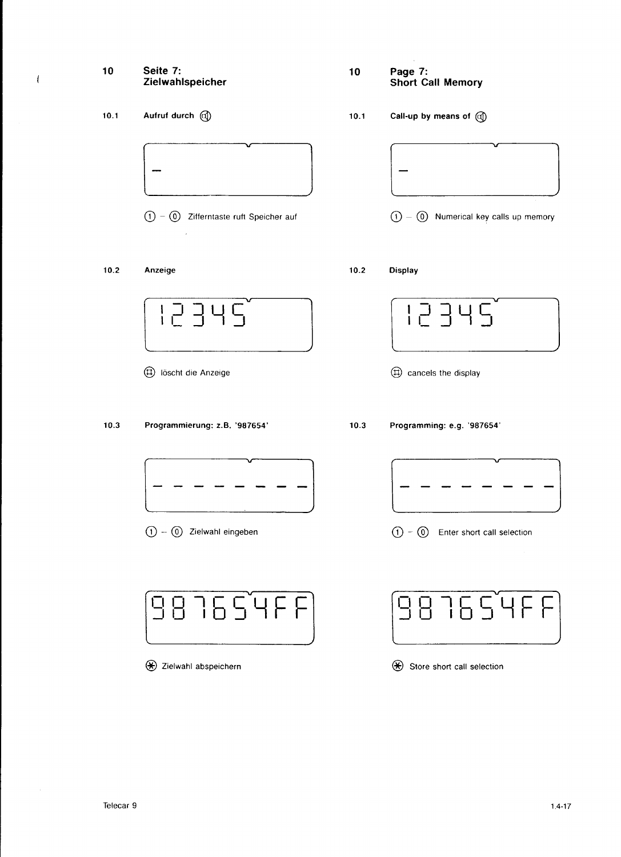## 10 Seite 7: Zielwahlspeicher

10.1 Aufruf durch @

 $\overline{\mathcal{L}}$ 

 $\textcircled{1}$  -  $\textcircled{0}$  Zifferntaste ruft Speicher auf

### $10.2$ Anzeige



- @ tOscnt die Anzeige
- $10.3$ Programmierung: z.B.'987654'



O-@ Zielwaht eingeben

|  | $C\sqrt{4}F$<br>$\mathbf{I}$<br>9836<br>ר ה | $\mathbf{I}$<br>the control |
|--|---------------------------------------------|-----------------------------|
|--|---------------------------------------------|-----------------------------|

 $\bigcirc$  Zielwahl abspeichern

- 10 Page 7: Short Call Memory
- 10.1 Call-up by means of  $\mathbb{Q}$



- $\textcircled{1} \textcircled{0}$  Numerical key calls up memory
- $10.2$ Display

@ cancels the display

Programming: e.g.'987654'  $10.3$ 



 $\textcircled{1}$  -  $\textcircled{0}$  Enter short call selection

| 987654FF1 | $[987654FF]$ |
|-----------|--------------|
|           |              |

 $\bigcirc$  Store short call selection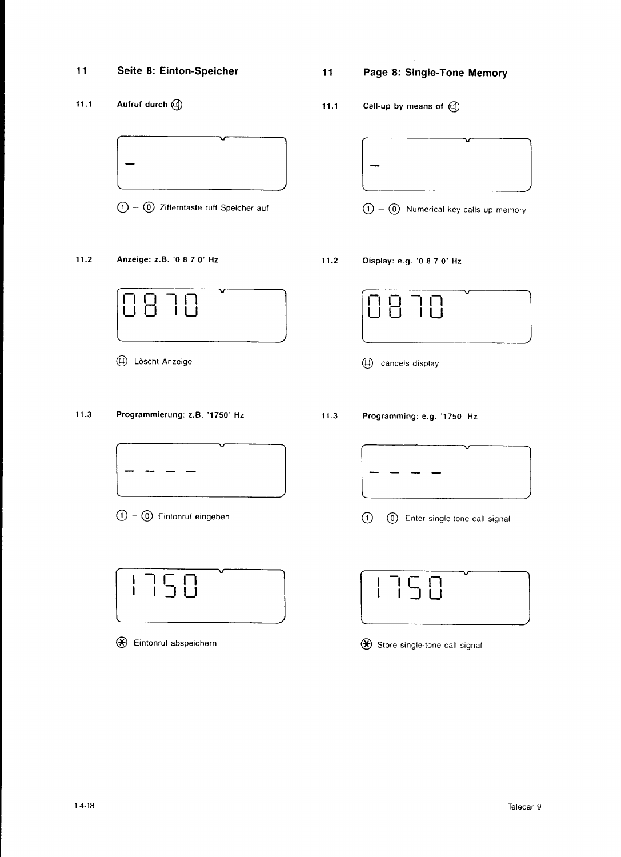## 11 Seite 8: Einton-Speicher

11.1 Aufruf durch @



<sup>O</sup>- @ Zifferntaste ruft Speicher auf

 $\bar{x}$ 

### $11.2$ Anzeige: z.B. '0 8 7 O' Hz



@ loscnt Anzeige

#### $11.3$ Programmierung: z.B. '1750' Hz



 $\textcircled{1}$  -  $\textcircled{0}$  Eintonruf eingeben



@ Eintonrul abspeichern

# 11 Page 8: Single-Tone Memory

11.1 Call-up by means of  $\mathbb{Q}$ 



- $\overline{O} = \overline{O}$  Numerical key calls up memory
- $11.2$ Dispfay: e.g. '0 8 7 O' Hz



@ cancels display

 $11.3$ Programming: e.g. '1750' Hz



 $\textcircled{1}$  -  $\textcircled{0}$  Enter single-tone call signal



 $\bigcirc$  Store single-tone call signal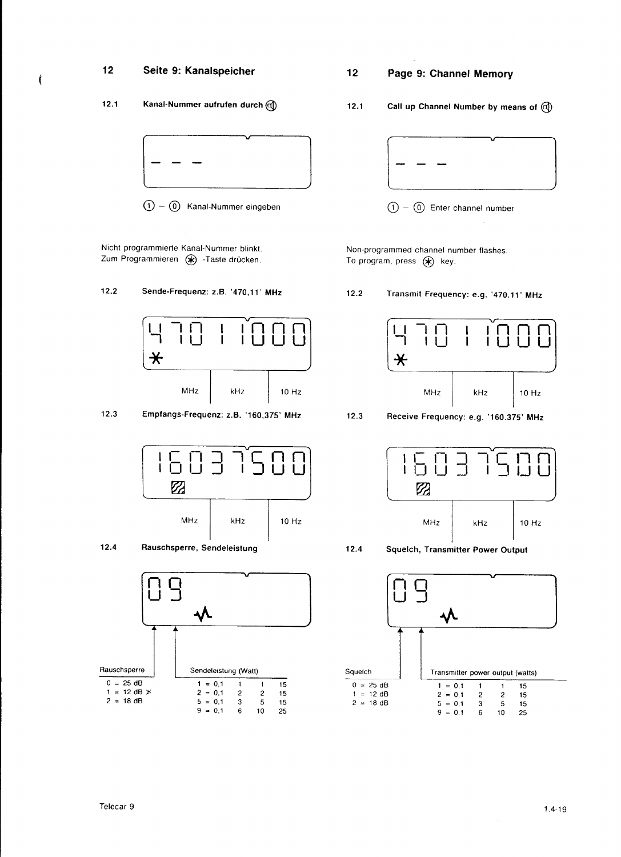### $12$ Seite 9: Kanalspeicher

 $\epsilon$ 

### $12.1$ Kanal-Nummer aufrufen durch (d)

 $(1) - (0)$  Kanal-Nummer eingeben

Nicht programmierte Kanal-Nummer blinkt. Zum Programmieren (\*) -Taste drücken.

#### $12.2$ Sende-Frequenz: z.B. '470,11' MHz



 $12.3$ Empfangs-Frequenz: z.B. '160,375' MHz







### $12$ Page 9: Channel Memory

Call up Channel Number by means of @  $12.1$ 



 $(1) - (0)$  Enter channel number

Non-programmed channel number flashes. To program, press  $(*)$  key.

 $12.2$ Transmit Frequency: e.g. '470.11' MHz



 $12.3$ Receive Frequency: e.g. '160.375' MHz



 $12.4$ Squelch, Transmitter Power Output

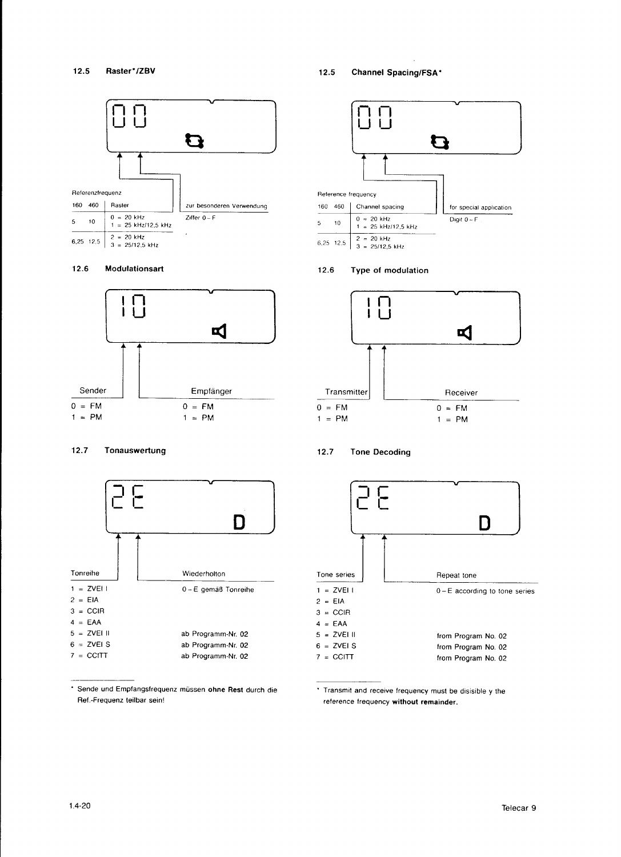

### 12.6 Modulationsart



### 12.7 Tonauswertung



\* Sende und Empfangsfrequenz müssen ohne Rest durch die Ref .- Frequenz teilbar sein!

12.5 Channel Spacing/FSA\*



## 12.6 Type of modulation



### 12.7 Tone Decoding



' Transmit and receive frequency must be disisible y the reference frequency without remainder.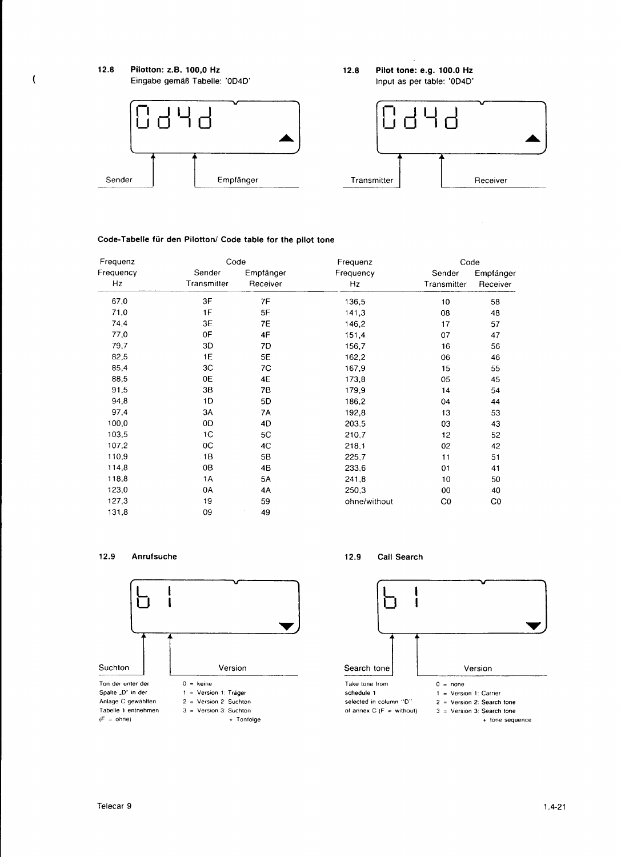

## Code-Tabelle für den Pilotton/ Code table for the pilot tone

| Frequenz  | Code        |           | Frequenz     | Code           |                |
|-----------|-------------|-----------|--------------|----------------|----------------|
| Frequency | Sender      | Empfänger | Frequency    | Sender         | Empfänger      |
| Hz        | Transmitter | Receiver  | Hz           | Transmitter    | Receiver       |
| 67,0      | 3F          | 7F        | 136,5        | 10             | 58             |
| 71,0      | 1F          | 5F        | 141,3        | 08             | 48             |
| 74,4      | 3E          | 7E        | 146,2        | 17             | 57             |
| 77,0      | 0F          | 4F        | 151,4        | 07             | 47             |
| 79,7      | 3D          | 7D        | 156.7        | 16             | 56             |
| 82,5      | 1E          | 5E        | 162,2        | 06             | 46             |
| 85,4      | 3C          | 7C        | 167,9        | 15             | 55             |
| 88,5      | 0E          | 4E        | 173,8        | 05             | 45             |
| 91,5      | 3В          | 78        | 179,9        | 14             | 54             |
| 94,8      | 1D          | 5D        | 186,2        | 04             | 44             |
| 97,4      | 3A          | 7A        | 192,8        | 13             | 53             |
| 100,0     | 0D          | 4D        | 203,5        | 03             | 43             |
| 103,5     | 1C          | 5C        | 210,7        | 12             | 52             |
| 107,2     | $_{0C}$     | 4C        | 218.1        | 02             | 42             |
| 110,9     | 1B          | 5B        | 225,7        | 11             | 51             |
| 114,8     | 0B          | 4B        | 233,6        | 01             | 41             |
| 118,8     | 1A          | 5A        | 241,8        | 10             | 50             |
| 123,0     | 0A          | 4A        | 250,3        | 00             | 40             |
| 127,3     | 19          | 59        | ohne/without | C <sub>0</sub> | C <sub>0</sub> |
| 131,8     | 09          | 49        |              |                |                |

#### 12.9 Anrufsuche

 $\overline{(}$ 



#### $12.9$ Call Search

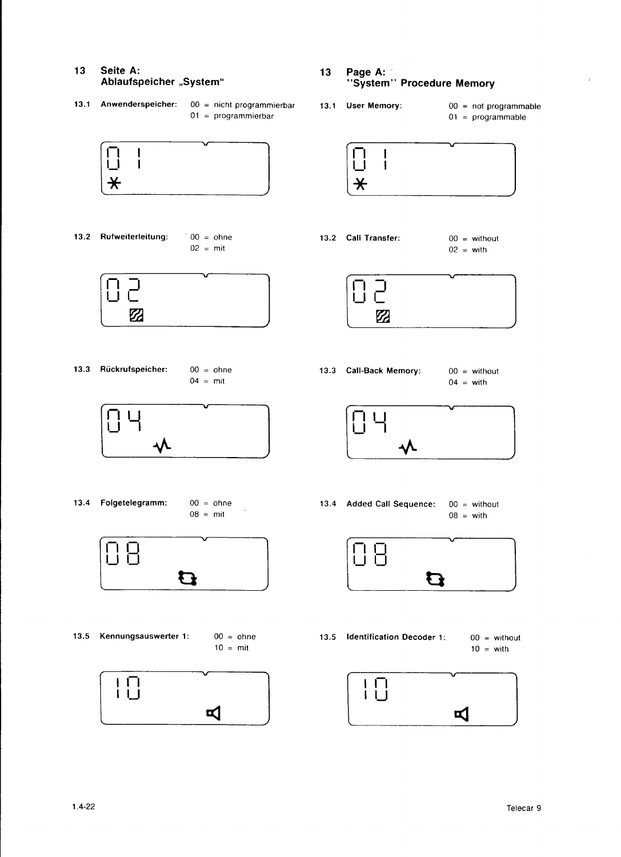### 13 Seite A: Ablaufspeicher "System"

13.1 Anwenderspeicher:  $00 =$  nicht programmierbar  $01 = programmierbar$ 



13.2 Rufweiterleitung:  $00 = \text{ohne}$  $02 = \text{mit}$ 



13.3 Rückrufspeicher:  $00 = \text{ohne}$  $04 = \text{mit}$ 



- 13.4 Folgetelegramm:
	- $00 = \text{ohne}$  $08 = \text{mit}$

l.



- 13.5 Kennungsauswerter 1:  $00 = \text{ohne}$  $10 = \text{mit}$ 
	- $\prod_{i=1}^{n}$  $\blacksquare$
- 13 Page A: "System" Procedure Memory
- 13.1 User Memory:
- $00 = not program \text{module}$  $01 = programmable$

 $\mathbf i$ 



13.2 Call Transfer:  $00 = \text{without}$  $02 = \text{with}$ 



13.3 Call-Back Memory:  $00 = \text{without}$  $04 = \text{with}$ 



13.4 Added Call Sequence:  $00 = \text{without}$  $08 = \text{with}$ 



13.5 Identification Decoder 1:  $00 = \text{without}$  $10 = \text{with}$ 

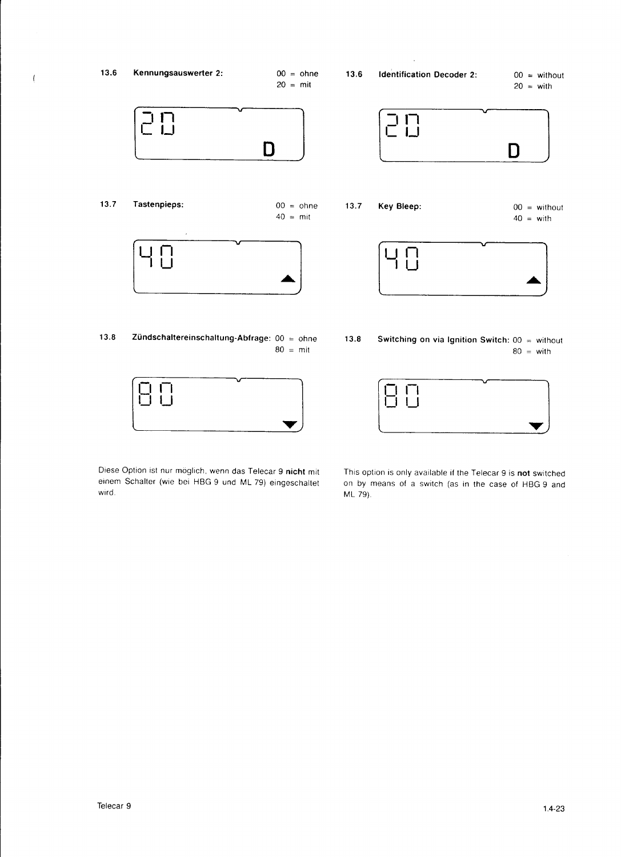



Diese Option ist nur möglich, wenn das Telecar 9 nicht mit einem Schalter (wie bei HBG 9 und ML 79) eingeschaltet wird.

This option is only available if the Telecar 9 is not switched on by means of a switch (as in the case of HBG 9 and ML 79).

 $\left\{ \right.$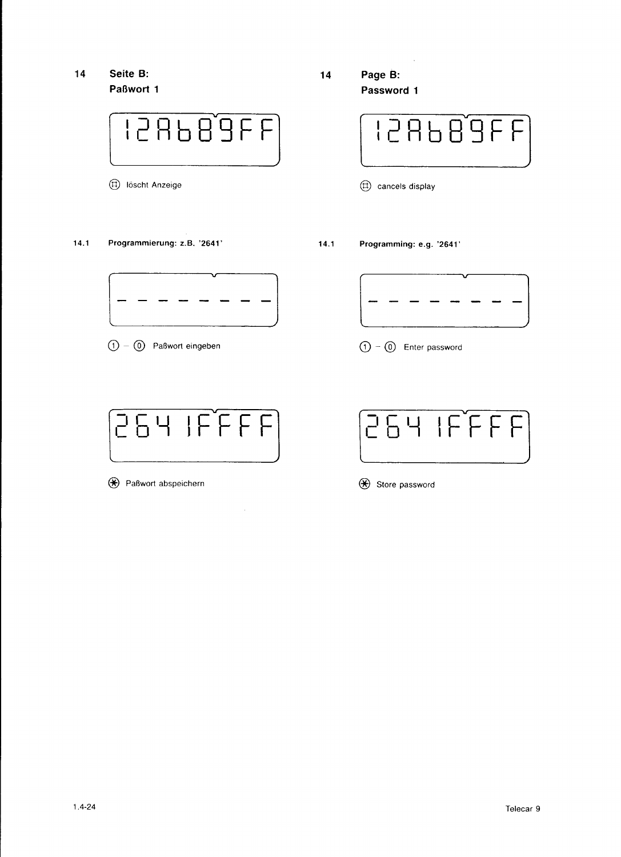14 Seite B: Paßwort 1



@ toscnt Anzeige

14.1 Programmierung: z.B. '2641'

14 Page B: Password 1



 $(\text{t})$  cancels display

1 4.1 Programming: e.g. '2641 '



 $\textcircled{1} - \textcircled{0}$  Paßwort eingeben



 $\bar{z}$ 

 $\bigoplus$  Paßwort abspeichern



 $\textcircled{1}$  -  $\textcircled{0}$  Enter password



 $\bigoplus$  Store password